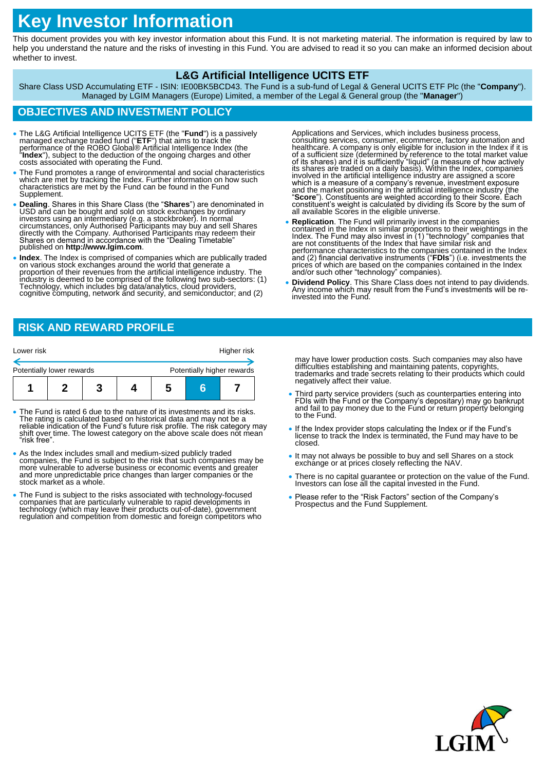# **Key Investor Information**

This document provides you with key investor information about this Fund. It is not marketing material. The information is required by law to help you understand the nature and the risks of investing in this Fund. You are advised to read it so you can make an informed decision about whether to invest.

#### **L&G Artificial Intelligence UCITS ETF**

Share Class USD Accumulating ETF - ISIN: IE00BK5BCD43. The Fund is a sub-fund of Legal & General UCITS ETF Plc (the "**Company**"). Managed by LGIM Managers (Europe) Limited, a member of the Legal & General group (the "**Manager**")

## **OBJECTIVES AND INVESTMENT POLICY**

- The L&G Artificial Intelligence UCITS ETF (the "Fund") is a passively managed exchange traded fund ("ETF") that aims to track the performance of the ROBO Global® Artificial Intelligence Index (the "Index"), subject to th
- The Fund promotes a range of environmental and social characteristics which are met by tracking the Index. Further information on how such characteristics are met by the Fund can be found in the Fund Supplement.
- Dealing. Shares in this Share Class (the "Shares") are denominated in USD and can be bought and sold on stock exchanges by ordinary investors using an intermediary (e.g. a stockbroker). In normal circumstances, only Auth directly with the Company. Authorised Participants may redeem their Shares on demand in accordance with the "Dealing Timetable" published on **http://www.lgim.com**.
- **Index**. The Index is comprised of companies which are publically traded on various stock exchanges around the world that generate a proportion of their revenues from the artificial intelligence industry. The<br>industry is deemed to be comprised of the following two sub-sectors: (1) Technology, which includes big data/analytics, cloud providers, cognitive computing, network and security, and semiconductor; and (2)

Applications and Services, which includes business process, consulting services, consumer, ecommerce, factory automation and<br>healthcare. A company is only eligible for inclusion in the Index if it is<br>of a sufficient size (determined by reference to the total market value<br>of its sha which is a measure of a company's revenue, investment exposure<br>and the market positioning in the artificial intelligence industry (the<br>"Score"). Constituents are weighted according to their Score. Each<br>constituent's weight all available Scores in the eligible universe.

- Replication. The Fund will primarily invest in the companies<br>contained in the Index in similar proportions to their weightings in the<br>Index. The Fund may also invest in (1) "technology" companies that<br>are not constituent performance characteristics to the companies contained in the Index and (2) financial derivative instruments ("**FDIs**") (i.e. investments the prices of which are based on the companies contained in the Index and/or such other "technology" companies).
- **Dividend Policy**. This Share Class does not intend to pay dividends. Any income which may result from the Fund's investments will be reinvested into the Fund.

#### **RISK AND REWARD PROFILE**

| Lower risk                |                            |   |  | Higher risk |
|---------------------------|----------------------------|---|--|-------------|
| Potentially lower rewards | Potentially higher rewards |   |  |             |
|                           |                            | b |  |             |

- The Fund is rated 6 due to the nature of its investments and its risks. The rating is calculated based on historical data and may not be a reliable indication of the Fund's future risk profile. The risk category may shift over time. The lowest category on the above scale does not mean "risk free".
- As the Index includes small and medium-sized publicly traded companies, the Fund is subject to the risk that such companies may be more vulnerable to adverse business or economic events and greater and more unpredictable price changes than larger companies or the stock market as a whole.
- The Fund is subject to the risks associated with technology-focused companies that are particularly vulnerable to rapid developments in<br>technology (which may leave their products out-of-date), government<br>regulation and competition from domestic and foreign competitors who

may have lower production costs. Such companies may also have difficulties establishing and maintaining patents, copyrights, trademarks and trade secrets relating to their products which could negatively affect their value.

- Third party service providers (such as counterparties entering into FDIs with the Fund or the Company's depositary) may go bankrupt and fail to pay money due to the Fund or return property belonging to the Fund.
- If the Index provider stops calculating the Index or if the Fund's license to track the Index is terminated, the Fund may have to be closed.
- It may not always be possible to buy and sell Shares on a stock exchange or at prices closely reflecting the NAV.
- There is no capital guarantee or protection on the value of the Fund. Investors can lose all the capital invested in the Fund.
- Please refer to the "Risk Factors" section of the Company's Prospectus and the Fund Supplement.